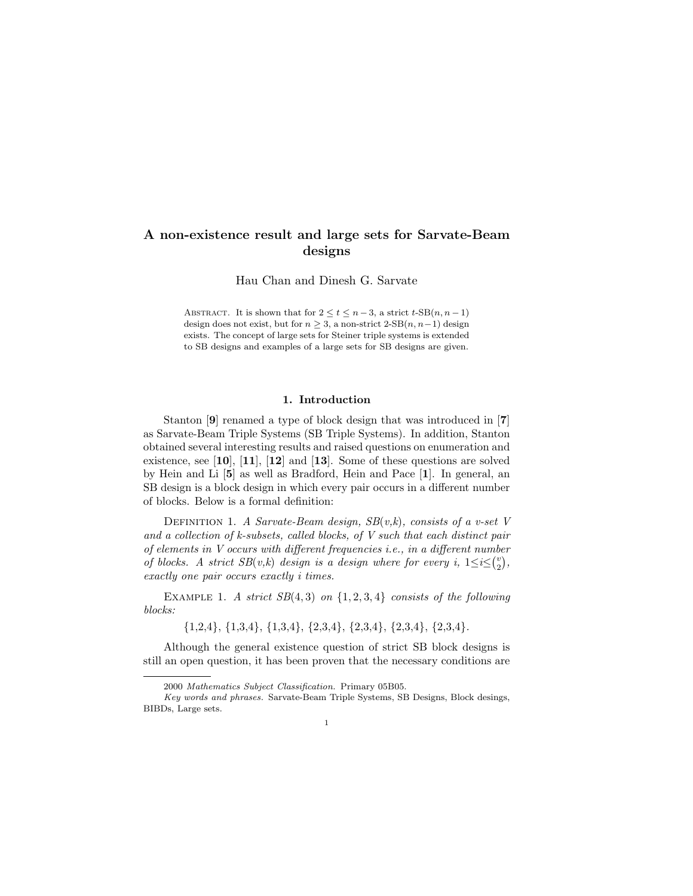# A non-existence result and large sets for Sarvate-Beam designs

Hau Chan and Dinesh G. Sarvate

ABSTRACT. It is shown that for  $2 \le t \le n-3$ , a strict  $t$ -SB $(n, n-1)$ design does not exist, but for  $n \geq 3$ , a non-strict 2-SB $(n, n-1)$  design exists. The concept of large sets for Steiner triple systems is extended to SB designs and examples of a large sets for SB designs are given.

### 1. Introduction

Stanton [9] renamed a type of block design that was introduced in [7] as Sarvate-Beam Triple Systems (SB Triple Systems). In addition, Stanton obtained several interesting results and raised questions on enumeration and existence, see [10], [11], [12] and [13]. Some of these questions are solved by Hein and Li [5] as well as Bradford, Hein and Pace [1]. In general, an SB design is a block design in which every pair occurs in a different number of blocks. Below is a formal definition:

DEFINITION 1. A Sarvate-Beam design,  $SB(v,k)$ , consists of a v-set V and a collection of k-subsets, called blocks, of V such that each distinct pair of elements in V occurs with different frequencies i.e., in a different number of blocks. A strict  $SB(v,k)$  design is a design where for every i,  $1 \le i \le {v \choose 2}$ , exactly one pair occurs exactly i times.

EXAMPLE 1. A strict  $SB(4,3)$  on  $\{1,2,3,4\}$  consists of the following blocks:

 $\{1,2,4\}, \{1,3,4\}, \{1,3,4\}, \{2,3,4\}, \{2,3,4\}, \{2,3,4\}, \{2,3,4\}.$ 

Although the general existence question of strict SB block designs is still an open question, it has been proven that the necessary conditions are

<sup>2000</sup> Mathematics Subject Classification. Primary 05B05.

Key words and phrases. Sarvate-Beam Triple Systems, SB Designs, Block desings, BIBDs, Large sets.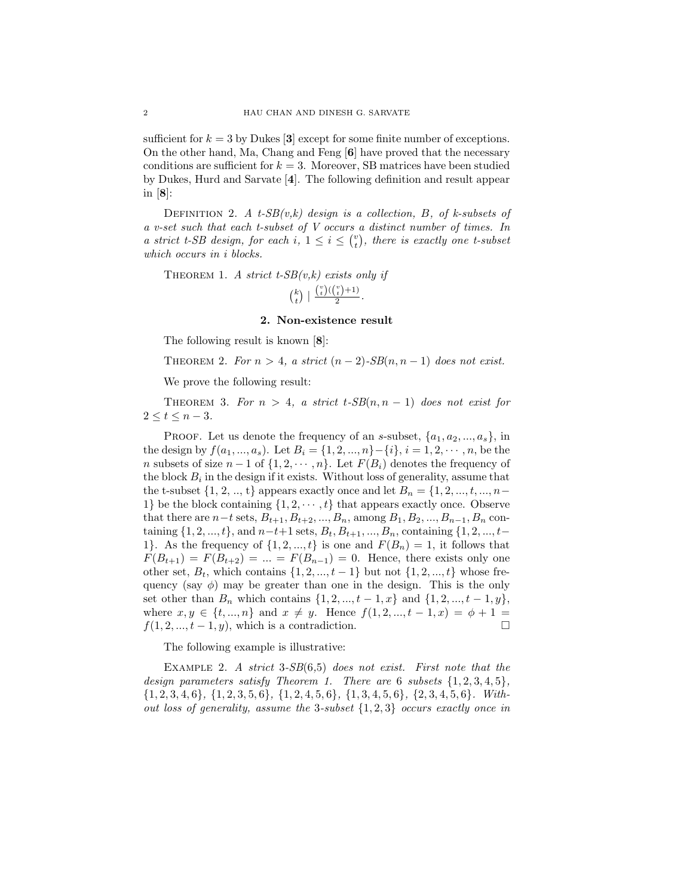sufficient for  $k = 3$  by Dukes [3] except for some finite number of exceptions. On the other hand, Ma, Chang and Feng  $[6]$  have proved that the necessary conditions are sufficient for  $k = 3$ . Moreover, SB matrices have been studied by Dukes, Hurd and Sarvate [4]. The following definition and result appear in [8]:

DEFINITION 2. A t-SB $(v,k)$  design is a collection, B, of k-subsets of a v-set such that each t-subset of V occurs a distinct number of times. In a strict t-SB design, for each i,  $1 \leq i \leq {v \choose t}$ , there is exactly one t-subset which occurs in *i* blocks.

THEOREM 1. A strict  $t$ -SB $(v,k)$  exists only if  $\binom{k}{t}$  |  $\frac{\binom{v}{t}(\binom{v}{t}+1)}{2}$ .

### 2. Non-existence result

The following result is known [8]:

THEOREM 2. For  $n > 4$ , a strict  $(n-2)$ -SB $(n, n-1)$  does not exist.

We prove the following result:

THEOREM 3. For  $n > 4$ , a strict  $t$ -SB $(n, n - 1)$  does not exist for  $2 \leq t \leq n-3$ .

PROOF. Let us denote the frequency of an s-subset,  $\{a_1, a_2, ..., a_s\}$ , in the design by  $f(a_1, ..., a_s)$ . Let  $B_i = \{1, 2, ..., n\} - \{i\}, i = 1, 2, ..., n$ , be the n subsets of size  $n-1$  of  $\{1, 2, \dots, n\}$ . Let  $F(B_i)$  denotes the frequency of the block  $B_i$  in the design if it exists. Without loss of generality, assume that the t-subset  $\{1, 2, ..., t\}$  appears exactly once and let  $B_n = \{1, 2, ..., t, ..., n-\}$ 1} be the block containing  $\{1, 2, \dots, t\}$  that appears exactly once. Observe that there are  $n-t$  sets,  $B_{t+1}, B_{t+2}, ..., B_n$ , among  $B_1, B_2, ..., B_{n-1}, B_n$  containing  $\{1, 2, ..., t\}$ , and  $n-t+1$  sets,  $B_t, B_{t+1}, ..., B_n$ , containing  $\{1, 2, ..., t-1\}$ 1}. As the frequency of  $\{1, 2, ..., t\}$  is one and  $F(B_n) = 1$ , it follows that  $F(B_{t+1}) = F(B_{t+2}) = ... = F(B_{n-1}) = 0$ . Hence, there exists only one other set,  $B_t$ , which contains  $\{1, 2, ..., t-1\}$  but not  $\{1, 2, ..., t\}$  whose frequency (say  $\phi$ ) may be greater than one in the design. This is the only set other than  $B_n$  which contains  $\{1, 2, ..., t-1, x\}$  and  $\{1, 2, ..., t-1, y\}$ , where  $x, y \in \{t, ..., n\}$  and  $x \neq y$ . Hence  $f(1, 2, ..., t - 1, x) = \phi + 1 =$  $f(1, 2, \ldots, t-1, y)$ , which is a contradiction.

The following example is illustrative:

EXAMPLE 2. A strict  $3-SB(6,5)$  does not exist. First note that the design parameters satisfy Theorem 1. There are 6 subsets  $\{1, 2, 3, 4, 5\}$ ,  $\{1, 2, 3, 4, 6\}, \{1, 2, 3, 5, 6\}, \{1, 2, 4, 5, 6\}, \{1, 3, 4, 5, 6\}, \{2, 3, 4, 5, 6\}.$  Without loss of generality, assume the 3-subset  $\{1,2,3\}$  occurs exactly once in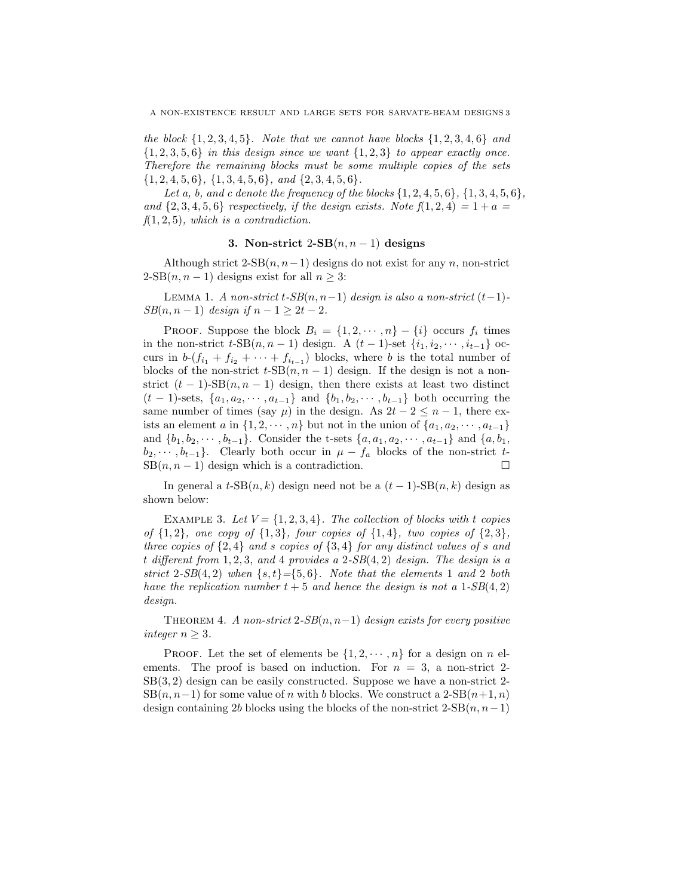the block  $\{1, 2, 3, 4, 5\}$ . Note that we cannot have blocks  $\{1, 2, 3, 4, 6\}$  and  $\{1, 2, 3, 5, 6\}$  in this design since we want  $\{1, 2, 3\}$  to appear exactly once. Therefore the remaining blocks must be some multiple copies of the sets  $\{1, 2, 4, 5, 6\}, \{1, 3, 4, 5, 6\}, \text{ and } \{2, 3, 4, 5, 6\}.$ 

Let a, b, and c denote the frequency of the blocks  $\{1, 2, 4, 5, 6\}$ ,  $\{1, 3, 4, 5, 6\}$ , and  $\{2, 3, 4, 5, 6\}$  respectively, if the design exists. Note  $f(1, 2, 4) = 1 + a$  $f(1, 2, 5)$ , which is a contradiction.

## 3. Non-strict  $2-SB(n, n-1)$  designs

Although strict  $2\text{-SB}(n, n-1)$  designs do not exist for any n, non-strict  $2\text{-SB}(n, n-1)$  designs exist for all  $n \geq 3$ :

LEMMA 1. A non-strict t-SB $(n, n-1)$  design is also a non-strict  $(t-1)$ - $SB(n, n-1)$  design if  $n-1 \geq 2t-2$ .

PROOF. Suppose the block  $B_i = \{1, 2, \dots, n\} - \{i\}$  occurs  $f_i$  times in the non-strict  $t$ -SB $(n, n - 1)$  design. A  $(t - 1)$ -set  $\{i_1, i_2, \cdots, i_{t-1}\}$  occurs in  $b \cdot (f_{i_1} + f_{i_2} + \cdots + f_{i_{t-1}})$  blocks, where b is the total number of blocks of the non-strict  $t$ -SB $(n, n - 1)$  design. If the design is not a nonstrict  $(t-1)$ -SB $(n, n-1)$  design, then there exists at least two distinct  $(t-1)$ -sets,  $\{a_1, a_2, \dots, a_{t-1}\}\$  and  $\{b_1, b_2, \dots, b_{t-1}\}\$  both occurring the same number of times (say  $\mu$ ) in the design. As  $2t - 2 \leq n - 1$ , there exists an element a in  $\{1, 2, \cdots, n\}$  but not in the union of  $\{a_1, a_2, \cdots, a_{t-1}\}$ and  $\{b_1, b_2, \dots, b_{t-1}\}$ . Consider the t-sets  $\{a, a_1, a_2, \dots, a_{t-1}\}$  and  $\{a, b_1,$  $b_2, \dots, b_{t-1}$ . Clearly both occur in  $\mu - f_a$  blocks of the non-strict t- $SB(n, n - 1)$  design which is a contradiction.

In general a  $t\text{-SB}(n,k)$  design need not be a  $(t-1)\text{-SB}(n,k)$  design as shown below:

EXAMPLE 3. Let  $V = \{1, 2, 3, 4\}$ . The collection of blocks with t copies of  $\{1,2\}$ , one copy of  $\{1,3\}$ , four copies of  $\{1,4\}$ , two copies of  $\{2,3\}$ , three copies of  $\{2,4\}$  and s copies of  $\{3,4\}$  for any distinct values of s and t different from  $1, 2, 3$ , and 4 provides a  $2-SB(4, 2)$  design. The design is a strict 2-SB(4,2) when  $\{s, t\} = \{5, 6\}$ . Note that the elements 1 and 2 both have the replication number  $t + 5$  and hence the design is not a  $1-SB(4,2)$ design.

THEOREM 4. A non-strict  $2-SB(n, n-1)$  design exists for every positive integer  $n \geq 3$ .

PROOF. Let the set of elements be  $\{1, 2, \cdots, n\}$  for a design on n elements. The proof is based on induction. For  $n = 3$ , a non-strict 2-SB(3, 2) design can be easily constructed. Suppose we have a non-strict 2-  $SB(n, n-1)$  for some value of n with b blocks. We construct a  $2-SB(n+1, n)$ design containing 2b blocks using the blocks of the non-strict  $2\text{-SB}(n, n-1)$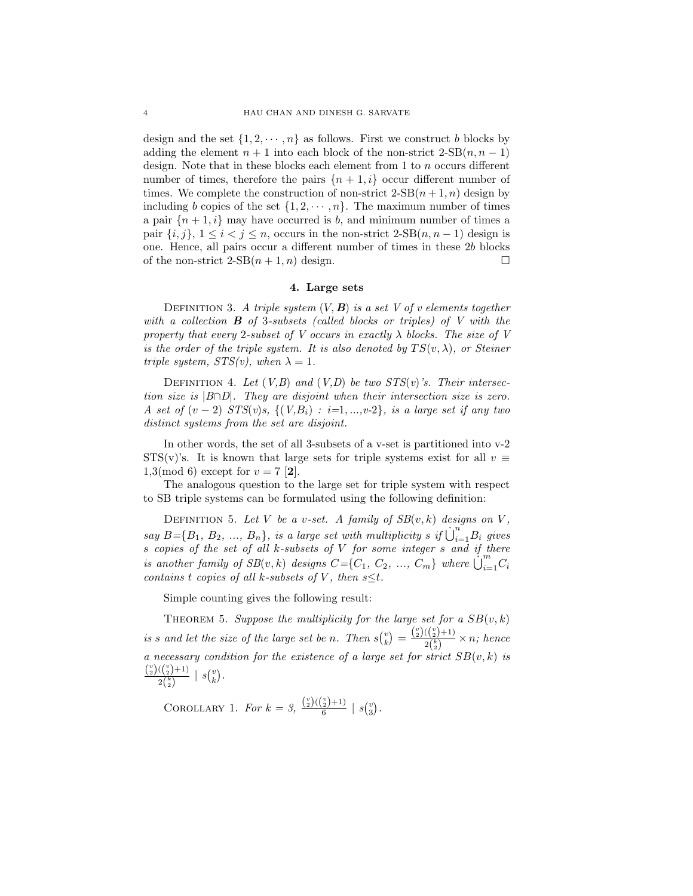design and the set  $\{1, 2, \dots, n\}$  as follows. First we construct b blocks by adding the element  $n + 1$  into each block of the non-strict  $2-SB(n, n - 1)$ design. Note that in these blocks each element from 1 to n occurs different number of times, therefore the pairs  $\{n+1, i\}$  occur different number of times. We complete the construction of non-strict  $2-SB(n+1, n)$  design by including b copies of the set  $\{1, 2, \dots, n\}$ . The maximum number of times a pair  $\{n+1, i\}$  may have occurred is b, and minimum number of times a pair  $\{i, j\}, 1 \leq i < j \leq n$ , occurs in the non-strict  $2\text{-SB}(n, n-1)$  design is one. Hence, all pairs occur a different number of times in these 2b blocks of the non-strict  $2-SB(n+1,n)$  design.

### 4. Large sets

DEFINITION 3. A triple system  $(V, B)$  is a set V of v elements together with a collection  $B$  of 3-subsets (called blocks or triples) of  $V$  with the property that every 2-subset of V occurs in exactly  $\lambda$  blocks. The size of V is the order of the triple system. It is also denoted by  $TS(v, \lambda)$ , or Steiner triple system,  $STS(v)$ , when  $\lambda = 1$ .

DEFINITION 4. Let  $(V, B)$  and  $(V, D)$  be two  $STS(v)$ 's. Their intersection size is  $|B \cap D|$ . They are disjoint when their intersection size is zero. A set of  $(v-2)$  STS $(v)s$ ,  $\{(V,B_i) : i=1,...,v-2\}$ , is a large set if any two distinct systems from the set are disjoint.

In other words, the set of all 3-subsets of a v-set is partitioned into v-2 STS(v)'s. It is known that large sets for triple systems exist for all  $v \equiv$ 1,3(mod 6) except for  $v = 7$  [2].

The analogous question to the large set for triple system with respect to SB triple systems can be formulated using the following definition:

DEFINITION 5. Let V be a v-set. A family of  $SB(v, k)$  designs on V, say  $B = \{B_1, B_2, ..., B_n\}$ , is a large set with multiplicity s if  $\dot{\bigcup}_{i=1}^n B_i$  gives s copies of the set of all k-subsets of  $V$  for some integer  $s$  and if there is another family of  $SB(v, k)$  designs  $C = \{C_1, C_2, ..., C_m\}$  where  $\bigcup_{i=1}^{m} C_i$ contains t copies of all k-subsets of V, then  $s \leq t$ .

Simple counting gives the following result:

THEOREM 5. Suppose the multiplicity for the large set for a  $SB(v, k)$ is s and let the size of the large set be n. Then  $s\binom{v}{k} = \frac{\binom{v}{2}(\binom{v}{2}+1)}{2^{\binom{k}{2}}}$  $\frac{\binom{(2)^{n}}{2}}{2\binom{k}{2}} \times n$ ; hence a necessary condition for the existence of a large set for strict  $SB(v, k)$  is  $\binom{v}{2}(\binom{v}{2}+1)$  $rac{((\frac{1}{2})+1)}{2(\frac{k}{2})}$  |  $s\binom{v}{k}$ .

COROLLARY 1. For 
$$
k = 3
$$
,  $\frac{{\binom{v}{2}} {\binom{v}{2}}+1}{6} | s {\binom{v}{3}}$ .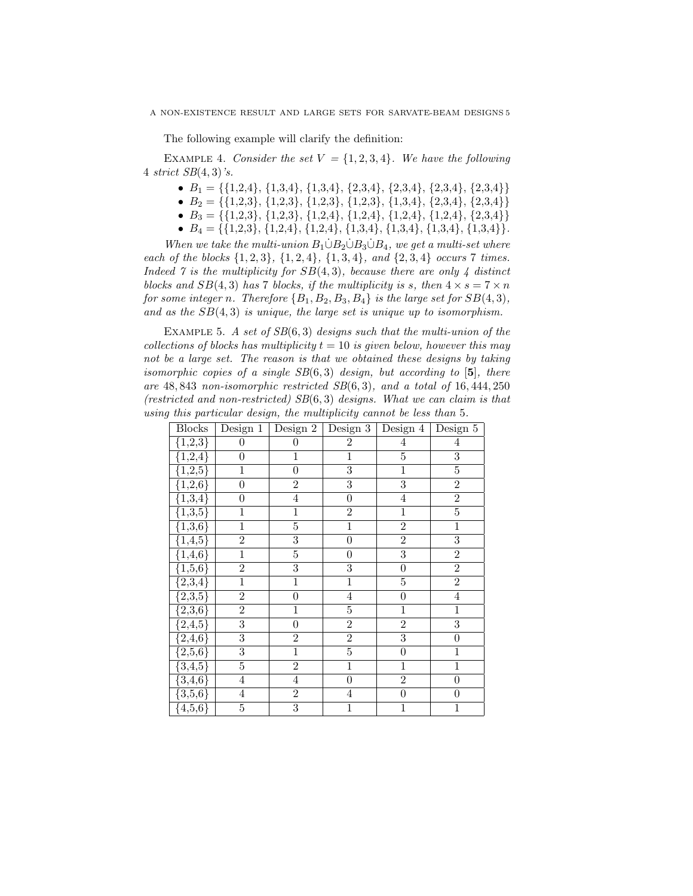The following example will clarify the definition:

EXAMPLE 4. Consider the set  $V = \{1, 2, 3, 4\}$ . We have the following 4 strict  $SB(4,3)$ 's.

- $B_1 = \{\{1,2,4\}, \{1,3,4\}, \{1,3,4\}, \{2,3,4\}, \{2,3,4\}, \{2,3,4\}, \{2,3,4\}\}\$
- $B_2 = \{\{1,2,3\}, \{1,2,3\}, \{1,2,3\}, \{1,2,3\}, \{1,3,4\}, \{2,3,4\}, \{2,3,4\}\}\$
- $B_3 = \{\{1,2,3\}, \{1,2,3\}, \{1,2,4\}, \{1,2,4\}, \{1,2,4\}, \{1,2,4\}, \{2,3,4\}\}\$
- $B_4 = \{\{1,2,3\}, \{1,2,4\}, \{1,2,4\}, \{1,3,4\}, \{1,3,4\}, \{1,3,4\}\}.$

When we take the multi-union  $B_1 \dot{\cup} B_2 \dot{\cup} B_3 \dot{\cup} B_4$ , we get a multi-set where each of the blocks  $\{1, 2, 3\}$ ,  $\{1, 2, 4\}$ ,  $\{1, 3, 4\}$ , and  $\{2, 3, 4\}$  occurs 7 times. Indeed  $\gamma$  is the multiplicity for  $SB(4,3)$ , because there are only 4 distinct blocks and  $SB(4,3)$  has 7 blocks, if the multiplicity is s, then  $4 \times s = 7 \times n$ for some integer n. Therefore  ${B_1, B_2, B_3, B_4}$  is the large set for  $SB(4, 3)$ , and as the  $SB(4,3)$  is unique, the large set is unique up to isomorphism.

EXAMPLE 5. A set of  $SB(6,3)$  designs such that the multi-union of the collections of blocks has multiplicity  $t = 10$  is given below, however this may not be a large set. The reason is that we obtained these designs by taking isomorphic copies of a single  $SB(6,3)$  design, but according to [5], there are  $48,843$  non-isomorphic restricted  $SB(6,3)$ , and a total of 16,444,250 (restricted and non-restricted)  $SB(6,3)$  designs. What we can claim is that using this particular design, the multiplicity cannot be less than 5.

| Blocks                                                                                                                           |                | Design $1  $ Design $2  $ | $\overline{\mathrm{Design}}\;3$ | Design 4   Design 5 |                  |
|----------------------------------------------------------------------------------------------------------------------------------|----------------|---------------------------|---------------------------------|---------------------|------------------|
| ${1,2,3}$                                                                                                                        | $\overline{0}$ | $\boldsymbol{0}$          | $\overline{2}$                  | $\overline{4}$      | $\overline{4}$   |
|                                                                                                                                  | $\overline{0}$ | $\overline{1}$            | $\overline{1}$                  | $\overline{5}$      | $\overline{3}$   |
|                                                                                                                                  | $\mathbf{1}$   | $\overline{0}$            | $\overline{3}$                  | $\overline{1}$      | $\overline{5}$   |
|                                                                                                                                  | $\overline{0}$ | $\overline{2}$            | $\overline{3}$                  | $\overline{3}$      | $\overline{2}$   |
|                                                                                                                                  | $\overline{0}$ | $\overline{4}$            | $\overline{0}$                  | $\overline{4}$      | $\overline{2}$   |
| $\frac{\{1,2,3\}}{\{1,2,4\}}$<br>$\frac{\{1,2,4\}}{\{1,2,5\}}$<br>$\frac{\{1,2,6\}}{\{1,3,4\}}$<br>$\frac{\{1,3,4\}}{\{1,3,6\}}$ | $\,1$          | $\overline{1}$            | $\overline{2}$                  | $\overline{1}$      | $\overline{5}$   |
|                                                                                                                                  | $\overline{1}$ | $\overline{5}$            | $\overline{1}$                  | $\overline{2}$      | $\overline{1}$   |
| $\frac{1}{1,4,5}$                                                                                                                | $\overline{2}$ | $\overline{3}$            | $\boldsymbol{0}$                | $\overline{2}$      | $\overline{3}$   |
|                                                                                                                                  | $\overline{1}$ | $\overline{5}$            | $\overline{0}$                  | $\overline{3}$      | $\overline{2}$   |
|                                                                                                                                  | $\overline{2}$ | $\overline{3}$            | $\overline{3}$                  | $\overline{0}$      | $\overline{2}$   |
| $\frac{\{1,4,6\}}{\{1,4,6\}}$<br>$\frac{\{1,5,6\}}{\{2,3,4\}}$<br>$\frac{\{2,3,4\}}{\{2,3,6\}}$<br>$\frac{\{2,4,6\}}{\{2,4,6\}}$ | $\overline{1}$ | $\overline{1}$            | $\mathbf{1}$                    | $\overline{5}$      | $\overline{2}$   |
|                                                                                                                                  | $\overline{2}$ | $\overline{0}$            | $\overline{4}$                  | $\boldsymbol{0}$    | $\overline{4}$   |
|                                                                                                                                  | $\overline{2}$ | $\overline{1}$            | $\overline{5}$                  | $\overline{1}$      | $\overline{1}$   |
|                                                                                                                                  | $\overline{3}$ | $\boldsymbol{0}$          | $\overline{2}$                  | $\overline{2}$      | $\overline{3}$   |
|                                                                                                                                  | $\overline{3}$ | $\overline{2}$            | $\overline{2}$                  | $\overline{3}$      | $\overline{0}$   |
| $\frac{1}{2,5,6}$                                                                                                                | $\overline{3}$ | $\overline{1}$            | $\overline{5}$                  | $\boldsymbol{0}$    | $\overline{1}$   |
| $\{3,4,5\}$                                                                                                                      | $\overline{5}$ | $\overline{2}$            | $\mathbf{1}$                    | $\mathbf{1}$        | $\mathbf{1}$     |
| $\overline{\{3,4,6\}}$                                                                                                           | $\overline{4}$ | $\overline{4}$            | $\overline{0}$                  | $\overline{2}$      | $\overline{0}$   |
| $\overline{\{3,5,6\}}$                                                                                                           | $\overline{4}$ | $\overline{2}$            | $\overline{4}$                  | $\boldsymbol{0}$    | $\boldsymbol{0}$ |
| $\{4,5,6\}$                                                                                                                      | $\overline{5}$ | $\overline{3}$            | $\overline{1}$                  | $\overline{1}$      | $\overline{1}$   |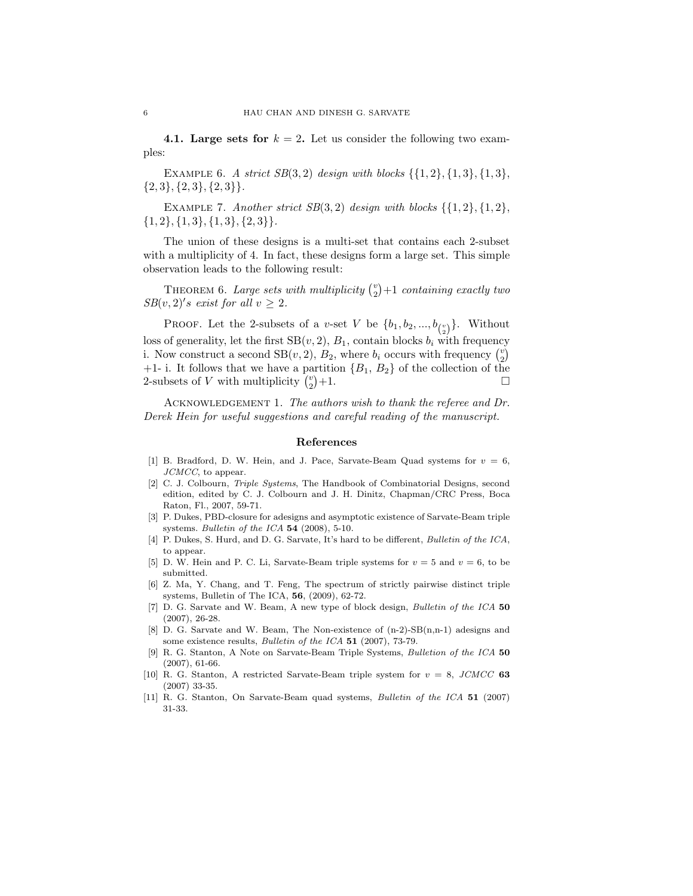4.1. Large sets for  $k = 2$ . Let us consider the following two examples:

EXAMPLE 6. A strict  $SB(3,2)$  design with blocks  $\{\{1,2\},\{1,3\},\{1,3\},\$  $\{2,3\}, \{2,3\}, \{2,3\}.$ 

EXAMPLE 7. Another strict  $SB(3,2)$  design with blocks  $\{\{1,2\},\{1,2\},\$  ${1, 2}, {1, 3}, {1, 3}, {2, 3}.$ 

The union of these designs is a multi-set that contains each 2-subset with a multiplicity of 4. In fact, these designs form a large set. This simple observation leads to the following result:

THEOREM 6. Large sets with multiplicity  $\binom{v}{2}+1$  containing exactly two  $SB(v, 2)'s$  exist for all  $v \geq 2$ .

PROOF. Let the 2-subsets of a v-set V be  $\{b_1, b_2, ..., b_{\binom{v}{2}}\}$ . Without loss of generality, let the first  $SB(v, 2)$ ,  $B_1$ , contain blocks  $b_i$  with frequency i. Now construct a second  $SB(v, 2), B_2$ , where  $b_i$  occurs with frequency  $\binom{v}{2}$ +1- i. It follows that we have a partition  ${B_1, B_2}$  of the collection of the 2-subsets of  $V$  with multiplicity  $\binom{v}{2}$  $+1.$ 

ACKNOWLEDGEMENT 1. The authors wish to thank the referee and Dr. Derek Hein for useful suggestions and careful reading of the manuscript.

#### References

- [1] B. Bradford, D. W. Hein, and J. Pace, Sarvate-Beam Quad systems for  $v = 6$ , JCMCC, to appear.
- [2] C. J. Colbourn, Triple Systems, The Handbook of Combinatorial Designs, second edition, edited by C. J. Colbourn and J. H. Dinitz, Chapman/CRC Press, Boca Raton, Fl., 2007, 59-71.
- [3] P. Dukes, PBD-closure for adesigns and asymptotic existence of Sarvate-Beam triple systems. Bulletin of the ICA  $54$  (2008), 5-10.
- [4] P. Dukes, S. Hurd, and D. G. Sarvate, It's hard to be different, Bulletin of the ICA, to appear.
- [5] D. W. Hein and P. C. Li, Sarvate-Beam triple systems for  $v = 5$  and  $v = 6$ , to be submitted.
- [6] Z. Ma, Y. Chang, and T. Feng, The spectrum of strictly pairwise distinct triple systems, Bulletin of The ICA, 56, (2009), 62-72.
- [7] D. G. Sarvate and W. Beam, A new type of block design, Bulletin of the ICA 50 (2007), 26-28.
- [8] D. G. Sarvate and W. Beam, The Non-existence of (n-2)-SB(n,n-1) adesigns and some existence results, *Bulletin of the ICA* 51 (2007), 73-79.
- [9] R. G. Stanton, A Note on Sarvate-Beam Triple Systems, Bulletion of the ICA 50 (2007), 61-66.
- [10] R. G. Stanton, A restricted Sarvate-Beam triple system for  $v = 8$ , *JCMCC* 63 (2007) 33-35.
- [11] R. G. Stanton, On Sarvate-Beam quad systems, Bulletin of the ICA 51 (2007) 31-33.